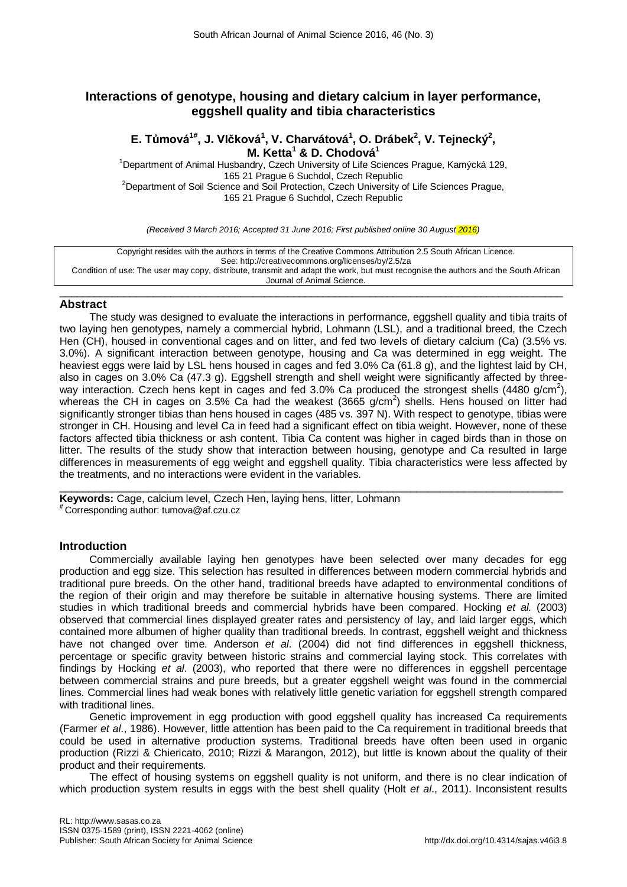# **Interactions of genotype, housing and dietary calcium in layer performance, eggshell quality and tibia characteristics**

## **E. Tůmová1#, J. Vlčková<sup>1</sup> , V. Charvátová<sup>1</sup> , O. Drábek<sup>2</sup> , V. Tejnecký2 , M. Ketta<sup>1</sup> & D. Chodová<sup>1</sup>**

<sup>1</sup>Department of Animal Husbandry, Czech University of Life Sciences Prague, Kamýcká 129, 165 21 Prague 6 Suchdol, Czech Republic <sup>2</sup> <sup>2</sup>Department of Soil Science and Soil Protection, Czech University of Life Sciences Prague, 165 21 Prague 6 Suchdol, Czech Republic

*(Received 3 March 2016; Accepted 31 June 2016; First published online 30 August 2016)*

Copyright resides with the authors in terms of the Creative Commons Attribution 2.5 South African Licence. See: http://creativecommons.org/licenses/by/2.5/za Condition of use: The user may copy, distribute, transmit and adapt the work, but must recognise the authors and the South African Journal of Animal Science.

#### $\_$  , and the set of the set of the set of the set of the set of the set of the set of the set of the set of the set of the set of the set of the set of the set of the set of the set of the set of the set of the set of th **Abstract**

The study was designed to evaluate the interactions in performance, eggshell quality and tibia traits of two laying hen genotypes, namely a commercial hybrid, Lohmann (LSL), and a traditional breed, the Czech Hen (CH), housed in conventional cages and on litter, and fed two levels of dietary calcium (Ca) (3.5% vs. 3.0%). A significant interaction between genotype, housing and Ca was determined in egg weight. The heaviest eggs were laid by LSL hens housed in cages and fed 3.0% Ca (61.8 g), and the lightest laid by CH, also in cages on 3.0% Ca (47.3 g). Eggshell strength and shell weight were significantly affected by threeway interaction. Czech hens kept in cages and fed 3.0% Ca produced the strongest shells (4480 g/cm<sup>2</sup>), whereas the CH in cages on  $3.5\%$  Ca had the weakest (3665 g/cm<sup>2</sup>) shells. Hens housed on litter had significantly stronger tibias than hens housed in cages (485 vs. 397 N). With respect to genotype, tibias were stronger in CH. Housing and level Ca in feed had a significant effect on tibia weight. However, none of these factors affected tibia thickness or ash content. Tibia Ca content was higher in caged birds than in those on litter. The results of the study show that interaction between housing, genotype and Ca resulted in large differences in measurements of egg weight and eggshell quality. Tibia characteristics were less affected by the treatments, and no interactions were evident in the variables.

 $\_$  ,  $\_$  ,  $\_$  ,  $\_$  ,  $\_$  ,  $\_$  ,  $\_$  ,  $\_$  ,  $\_$  ,  $\_$  ,  $\_$  ,  $\_$  ,  $\_$  ,  $\_$  ,  $\_$  ,  $\_$  ,  $\_$  ,  $\_$  ,  $\_$  ,  $\_$  ,  $\_$  ,  $\_$  ,  $\_$  ,  $\_$  ,  $\_$  ,  $\_$  ,  $\_$  ,  $\_$  ,  $\_$  ,  $\_$  ,  $\_$  ,  $\_$  ,  $\_$  ,  $\_$  ,  $\_$  ,  $\_$  ,  $\_$  , **Keywords:** Cage, calcium level, Czech Hen, laying hens, litter, Lohmann **#** Corresponding author: [tumova@af.czu.cz](mailto:tumova@af.czu.cz)

## **Introduction**

Commercially available laying hen genotypes have been selected over many decades for egg production and egg size. This selection has resulted in differences between modern commercial hybrids and traditional pure breeds. On the other hand, traditional breeds have adapted to environmental conditions of the region of their origin and may therefore be suitable in alternative housing systems. There are limited studies in which traditional breeds and commercial hybrids have been compared. Hocking *et al.* (2003) observed that commercial lines displayed greater rates and persistency of lay, and laid larger eggs, which contained more albumen of higher quality than traditional breeds. In contrast, eggshell weight and thickness have not changed over time. Anderson *et al*. (2004) did not find differences in eggshell thickness, percentage or specific gravity between historic strains and commercial laying stock. This correlates with findings by Hocking *et al*. (2003), who reported that there were no differences in eggshell percentage between commercial strains and pure breeds, but a greater eggshell weight was found in the commercial lines. Commercial lines had weak bones with relatively little genetic variation for eggshell strength compared with traditional lines.

Genetic improvement in egg production with good eggshell quality has increased Ca requirements (Farmer *et al*., 1986). However, little attention has been paid to the Ca requirement in traditional breeds that could be used in alternative production systems. Traditional breeds have often been used in organic production (Rizzi & Chiericato, 2010; Rizzi & Marangon, 2012), but little is known about the quality of their product and their requirements.

The effect of housing systems on eggshell quality is not uniform, and there is no clear indication of which production system results in eggs with the best shell quality (Holt *et al*., 2011). Inconsistent results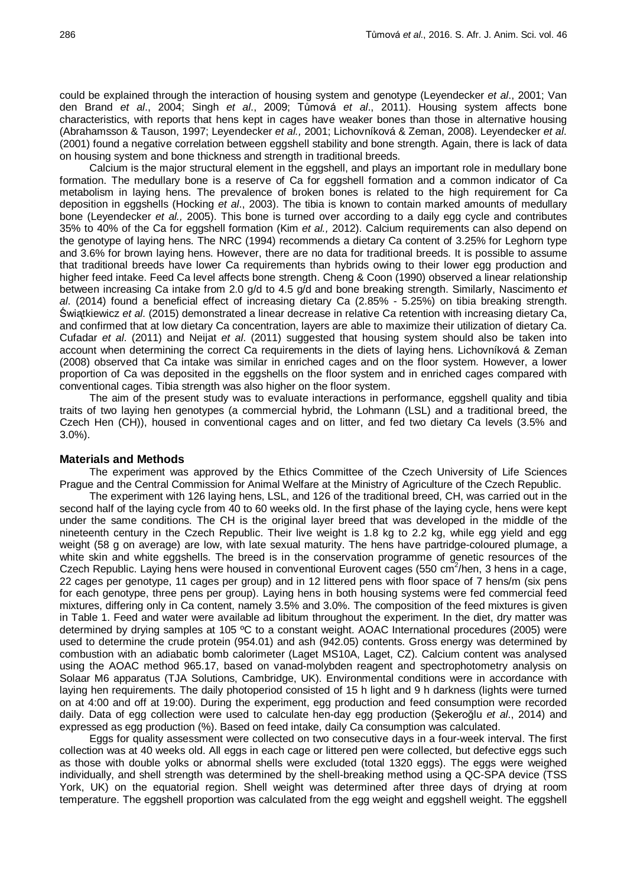could be explained through the interaction of housing system and genotype (Leyendecker *et al*., 2001; Van den Brand *et al*., 2004; Singh *et al*., 2009; Tůmová *et al*., 2011). Housing system affects bone characteristics, with reports that hens kept in cages have weaker bones than those in alternative housing (Abrahamsson & Tauson, 1997; Leyendecker *et al.,* 2001; Lichovníková & Zeman, 2008). Leyendecker *et al*. (2001) found a negative correlation between eggshell stability and bone strength. Again, there is lack of data on housing system and bone thickness and strength in traditional breeds.

Calcium is the major structural element in the eggshell, and plays an important role in medullary bone formation. The medullary bone is a reserve of Ca for eggshell formation and a common indicator of Ca metabolism in laying hens. The prevalence of broken bones is related to the high requirement for Ca deposition in eggshells (Hocking *et al*., 2003). The tibia is known to contain marked amounts of medullary bone (Leyendecker *et al.,* 2005). This bone is turned over according to a daily egg cycle and contributes 35% to 40% of the Ca for eggshell formation (Kim *et al.,* 2012). Calcium requirements can also depend on the genotype of laying hens. The NRC (1994) recommends a dietary Ca content of 3.25% for Leghorn type and 3.6% for brown laying hens. However, there are no data for traditional breeds. It is possible to assume that traditional breeds have lower Ca requirements than hybrids owing to their lower egg production and higher feed intake. Feed Ca level affects bone strength. Cheng & Coon (1990) observed a linear relationship between increasing Ca intake from 2.0 g/d to 4.5 g/d and bone breaking strength. Similarly, Nascimento *et al*. (2014) found a beneficial effect of increasing dietary Ca (2.85% - 5.25%) on tibia breaking strength. Świᶏtkiewicz *et al*. (2015) demonstrated a linear decrease in relative Ca retention with increasing dietary Ca, and confirmed that at low dietary Ca concentration, layers are able to maximize their utilization of dietary Ca. Cufadar *et al*. (2011) and Neijat *et al*. (2011) suggested that housing system should also be taken into account when determining the correct Ca requirements in the diets of laying hens. Lichovníková & Zeman (2008) observed that Ca intake was similar in enriched cages and on the floor system. However, a lower proportion of Ca was deposited in the eggshells on the floor system and in enriched cages compared with conventional cages. Tibia strength was also higher on the floor system.

The aim of the present study was to evaluate interactions in performance, eggshell quality and tibia traits of two laying hen genotypes (a commercial hybrid, the Lohmann (LSL) and a traditional breed, the Czech Hen (CH)), housed in conventional cages and on litter, and fed two dietary Ca levels (3.5% and 3.0%).

#### **Materials and Methods**

The experiment was approved by the Ethics Committee of the Czech University of Life Sciences Prague and the Central Commission for Animal Welfare at the Ministry of Agriculture of the Czech Republic.

The experiment with 126 laying hens, LSL, and 126 of the traditional breed, CH, was carried out in the second half of the laying cycle from 40 to 60 weeks old. In the first phase of the laying cycle, hens were kept under the same conditions. The CH is the original layer breed that was developed in the middle of the nineteenth century in the Czech Republic. Their live weight is 1.8 kg to 2.2 kg, while egg yield and egg weight (58 g on average) are low, with late sexual maturity. The hens have partridge-coloured plumage, a white skin and white eggshells. The breed is in the conservation programme of genetic resources of the Czech Republic. Laying hens were housed in conventional Eurovent cages (550 cm<sup>2</sup>/hen, 3 hens in a cage, 22 cages per genotype, 11 cages per group) and in 12 littered pens with floor space of 7 hens/m (six pens for each genotype, three pens per group). Laying hens in both housing systems were fed commercial feed mixtures, differing only in Ca content, namely 3.5% and 3.0%. The composition of the feed mixtures is given in Table 1. Feed and water were available ad libitum throughout the experiment. In the diet, dry matter was determined by drying samples at 105 ºC to a constant weight. AOAC International procedures (2005) were used to determine the crude protein (954.01) and ash (942.05) contents. Gross energy was determined by combustion with an adiabatic bomb calorimeter (Laget MS10A, Laget, CZ). Calcium content was analysed using the AOAC method 965.17, based on vanad-molybden reagent and spectrophotometry analysis on Solaar M6 apparatus (TJA Solutions, Cambridge, UK). Environmental conditions were in accordance with laying hen requirements. The daily photoperiod consisted of 15 h light and 9 h darkness (lights were turned on at 4:00 and off at 19:00). During the experiment, egg production and feed consumption were recorded daily. Data of egg collection were used to calculate hen-day egg production (Şekeroğlu *et al*., 2014) and expressed as egg production (%). Based on feed intake, daily Ca consumption was calculated.

Eggs for quality assessment were collected on two consecutive days in a four-week interval. The first collection was at 40 weeks old. All eggs in each cage or littered pen were collected, but defective eggs such as those with double yolks or abnormal shells were excluded (total 1320 eggs). The eggs were weighed individually, and shell strength was determined by the shell-breaking method using a QC-SPA device (TSS York, UK) on the equatorial region. Shell weight was determined after three days of drying at room temperature. The eggshell proportion was calculated from the egg weight and eggshell weight. The eggshell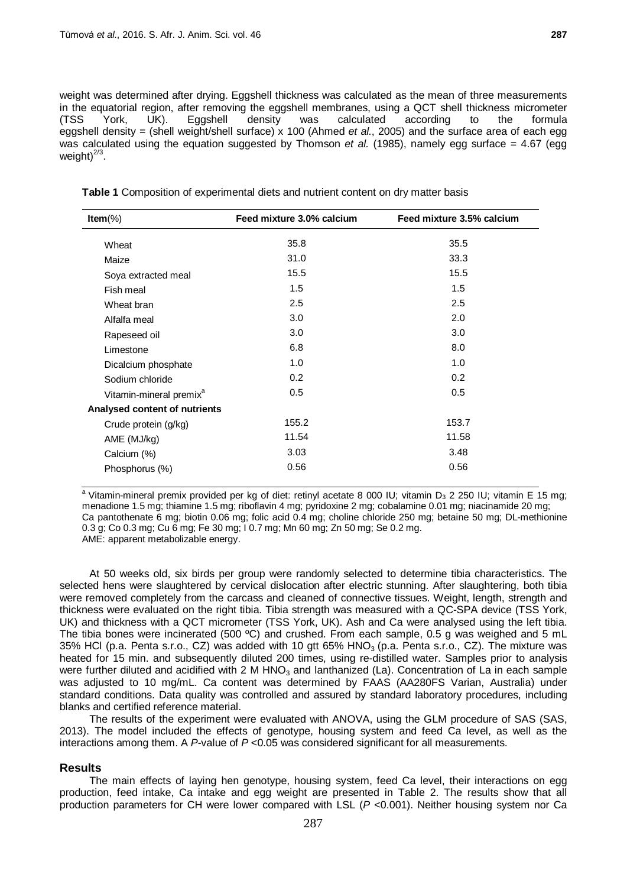weight was determined after drying. Eggshell thickness was calculated as the mean of three measurements in the equatorial region, after removing the eggshell membranes, using a QCT shell thickness micrometer<br>(TSS York, UK). Eggshell density was calculated according to the formula (TSS York, UK). Eggshell density was calculated according to the formula eggshell density = (shell weight/shell surface) x 100 (Ahmed *et al.*, 2005) and the surface area of each egg was calculated using the equation suggested by Thomson *et al.* (1985), namely egg surface = 4.67 (egg weight $)^{2/3}$ .

| Item $(\%)$                         | Feed mixture 3.0% calcium | Feed mixture 3.5% calcium |  |  |
|-------------------------------------|---------------------------|---------------------------|--|--|
| Wheat                               | 35.8                      | 35.5                      |  |  |
| Maize                               | 31.0                      | 33.3                      |  |  |
| Soya extracted meal                 | 15.5                      | 15.5                      |  |  |
| Fish meal                           | 1.5                       | 1.5                       |  |  |
| Wheat bran                          | 2.5                       | 2.5                       |  |  |
| Alfalfa meal                        | 3.0                       | 2.0                       |  |  |
| Rapeseed oil                        | 3.0                       | 3.0                       |  |  |
| Limestone                           | 6.8                       | 8.0                       |  |  |
| Dicalcium phosphate                 | 1.0                       | 1.0                       |  |  |
| Sodium chloride                     | 0.2 <sub>0</sub>          | 0.2                       |  |  |
| Vitamin-mineral premix <sup>a</sup> | 0.5                       | 0.5                       |  |  |
| Analysed content of nutrients       |                           |                           |  |  |
| Crude protein (g/kg)                | 155.2                     | 153.7                     |  |  |
| AME (MJ/kg)                         | 11.54                     | 11.58                     |  |  |
| Calcium (%)                         | 3.03                      | 3.48                      |  |  |
| Phosphorus (%)                      | 0.56                      | 0.56                      |  |  |

**Table 1** Composition of experimental diets and nutrient content on dry matter basis

<sup>a</sup> Vitamin-mineral premix provided per kg of diet: retinyl acetate 8 000 IU; vitamin D<sub>3</sub> 2 250 IU; vitamin E 15 mg; menadione 1.5 mg; thiamine 1.5 mg; riboflavin 4 mg; pyridoxine 2 mg; cobalamine 0.01 mg; niacinamide 20 mg; Ca pantothenate 6 mg; biotin 0.06 mg; folic acid 0.4 mg; choline chloride 250 mg; betaine 50 mg; DL-methionine 0.3 g; Co 0.3 mg; Cu 6 mg; Fe 30 mg; I 0.7 mg; Mn 60 mg; Zn 50 mg; Se 0.2 mg. AME: apparent metabolizable energy.

At 50 weeks old, six birds per group were randomly selected to determine tibia characteristics. The selected hens were slaughtered by cervical dislocation after electric stunning. After slaughtering, both tibia were removed completely from the carcass and cleaned of connective tissues. Weight, length, strength and thickness were evaluated on the right tibia. Tibia strength was measured with a QC-SPA device (TSS York, UK) and thickness with a QCT micrometer (TSS York, UK). Ash and Ca were analysed using the left tibia. The tibia bones were incinerated (500 °C) and crushed. From each sample, 0.5 g was weighed and 5 mL 35% HCl (p.a. Penta s.r.o., CZ) was added with 10 gtt  $65%$  HNO<sub>3</sub> (p.a. Penta s.r.o., CZ). The mixture was heated for 15 min. and subsequently diluted 200 times, using re-distilled water. Samples prior to analysis were further diluted and acidified with 2 M HNO<sub>3</sub> and lanthanized (La). Concentration of La in each sample was adjusted to 10 mg/mL. Ca content was determined by FAAS (AA280FS Varian, Australia) under standard conditions. Data quality was controlled and assured by standard laboratory procedures, including blanks and certified reference material.

The results of the experiment were evaluated with ANOVA, using the GLM procedure of SAS (SAS, 2013). The model included the effects of genotype, housing system and feed Ca level, as well as the interactions among them. A *P*-value of *P* <0.05 was considered significant for all measurements.

## **Results**

The main effects of laying hen genotype, housing system, feed Ca level, their interactions on egg production, feed intake, Ca intake and egg weight are presented in Table 2. The results show that all production parameters for CH were lower compared with LSL (*P* <0.001). Neither housing system nor Ca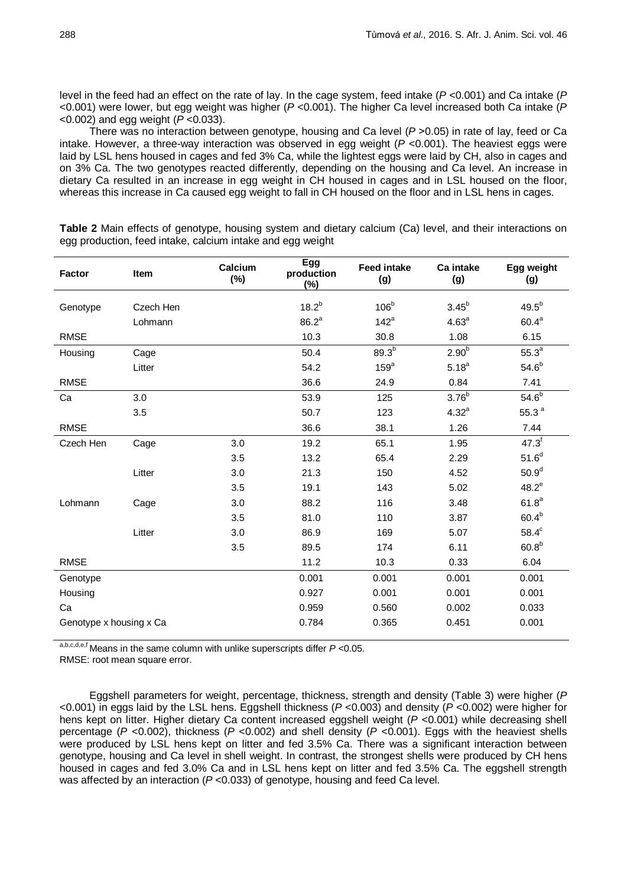level in the feed had an effect on the rate of lay. In the cage system, feed intake (*P* <0.001) and Ca intake (*P* <0.001) were lower, but egg weight was higher (*P* <0.001). The higher Ca level increased both Ca intake (*P* <0.002) and egg weight (*P* <0.033).

There was no interaction between genotype, housing and Ca level (P > 0.05) in rate of lay, feed or Ca intake. However, a three-way interaction was observed in egg weight (*P* <0.001). The heaviest eggs were laid by LSL hens housed in cages and fed 3% Ca, while the lightest eggs were laid by CH, also in cages and on 3% Ca. The two genotypes reacted differently, depending on the housing and Ca level. An increase in dietary Ca resulted in an increase in egg weight in CH housed in cages and in LSL housed on the floor. whereas this increase in Ca caused egg weight to fall in CH housed on the floor and in LSL hens in cages.

**Table 2** Main effects of genotype, housing system and dietary calcium (Ca) level, and their interactions on egg production, feed intake, calcium intake and egg weight

| <b>Factor</b>           | Item      | Calcium<br>$(\%)$ | <b>Egg</b><br>production<br>$(\%)$ | <b>Feed intake</b><br>(g) | Ca intake<br>(g)  | Egg weight<br>(g) |
|-------------------------|-----------|-------------------|------------------------------------|---------------------------|-------------------|-------------------|
| Genotype                | Czech Hen |                   | $18.2^{b}$                         | 106 <sup>b</sup>          | $3.45^{b}$        | $49.5^{b}$        |
|                         | Lohmann   |                   | $86.2^a$                           | $142^a$                   | 4.63 <sup>a</sup> | $60.4^a$          |
| <b>RMSE</b>             |           |                   | 10.3                               | 30.8                      | 1.08              | 6.15              |
| Housing                 | Cage      |                   | 50.4                               | $89.3^{b}$                | 2.90 <sup>b</sup> | 55.3 <sup>a</sup> |
|                         | Litter    |                   | 54.2                               | 159 <sup>a</sup>          | $5.18^{a}$        | 54.6 <sup>b</sup> |
| <b>RMSE</b>             |           |                   | 36.6                               | 24.9                      | 0.84              | 7.41              |
| Ca                      | 3.0       |                   | 53.9                               | 125                       | 3.76 <sup>b</sup> | 54.6 <sup>b</sup> |
|                         | 3.5       |                   | 50.7                               | 123                       | $4.32^{a}$        | 55.3 $a$          |
| <b>RMSE</b>             |           |                   | 36.6                               | 38.1                      | 1.26              | 7.44              |
| Czech Hen               | Cage      | 3.0               | 19.2                               | 65.1                      | 1.95              | $47.3^{f}$        |
|                         |           | 3.5               | 13.2                               | 65.4                      | 2.29              | 51.6 <sup>d</sup> |
|                         | Litter    | 3.0               | 21.3                               | 150                       | 4.52              | 50.9 <sup>d</sup> |
|                         |           | 3.5               | 19.1                               | 143                       | 5.02              | $48.2^e$          |
| Lohmann                 | Cage      | 3.0               | 88.2                               | 116                       | 3.48              | 61.8 <sup>a</sup> |
|                         |           | 3.5               | 81.0                               | 110                       | 3.87              | $60.4^{b}$        |
|                         | Litter    | 3.0               | 86.9                               | 169                       | 5.07              | $58.4^c$          |
|                         |           | 3.5               | 89.5                               | 174                       | 6.11              | $60.8^{b}$        |
| <b>RMSE</b>             |           |                   | 11.2                               | 10.3                      | 0.33              | 6.04              |
| Genotype                |           |                   | 0.001                              | 0.001                     | 0.001             | 0.001             |
| Housing                 |           |                   | 0.927                              | 0.001                     | 0.001             | 0.001             |
| Ca                      |           |                   | 0.959                              | 0.560                     | 0.002             | 0.033             |
| Genotype x housing x Ca |           |                   | 0.784                              | 0.365                     | 0.451             | 0.001             |

a,b,c,d,e,f Means in the same column with unlike superscripts differ *P* <0.05.

RMSE: root mean square error.

Eggshell parameters for weight, percentage, thickness, strength and density (Table 3) were higher (*P* <0.001) in eggs laid by the LSL hens. Eggshell thickness (*P* <0.003) and density (*P* <0.002) were higher for hens kept on litter. Higher dietary Ca content increased eggshell weight (*P* <0.001) while decreasing shell percentage (*P* <0.002), thickness (*P* <0.002) and shell density (*P* <0.001). Eggs with the heaviest shells were produced by LSL hens kept on litter and fed 3.5% Ca. There was a significant interaction between genotype, housing and Ca level in shell weight. In contrast, the strongest shells were produced by CH hens housed in cages and fed 3.0% Ca and in LSL hens kept on litter and fed 3.5% Ca. The eggshell strength was affected by an interaction ( $P < 0.033$ ) of genotype, housing and feed Ca level.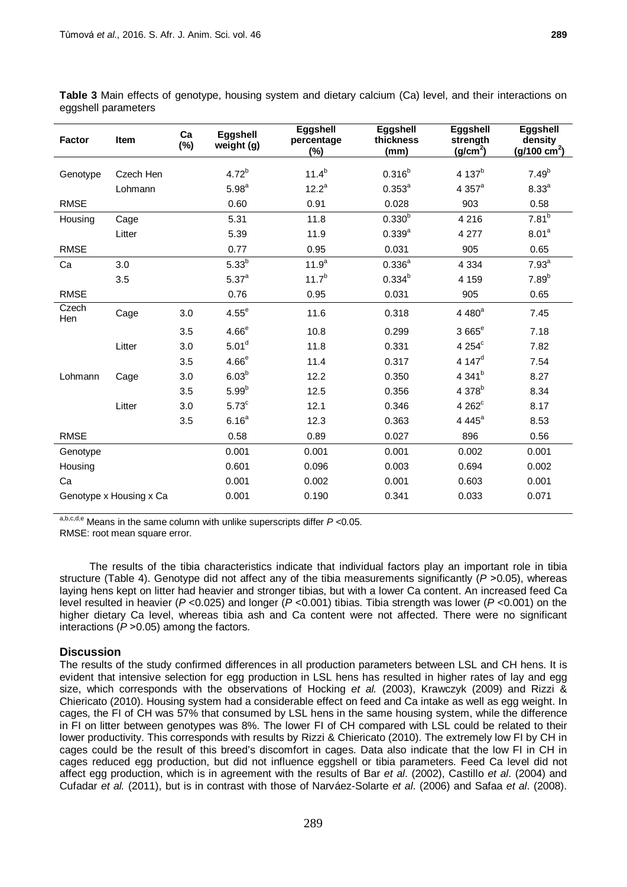| ອອ∽ີ່         |           |              |                        |                                         |                               |                                              |                                                 |  |
|---------------|-----------|--------------|------------------------|-----------------------------------------|-------------------------------|----------------------------------------------|-------------------------------------------------|--|
| <b>Factor</b> | Item      | Ca<br>$(\%)$ | Eggshell<br>weight (g) | <b>Eggshell</b><br>percentage<br>$(\%)$ | Eggshell<br>thickness<br>(mm) | Eggshell<br>strength<br>(g/cm <sup>2</sup> ) | Eggshell<br>density<br>(g/100 cm <sup>2</sup> ) |  |
| Genotype      | Czech Hen |              | $4.72^{b}$             | $11.4^{b}$                              | $0.316^{b}$                   | 4 137 <sup>b</sup>                           | $7.49^{b}$                                      |  |
|               | Lohmann   |              | 5.98 <sup>a</sup>      | $12.2^a$                                | $0.353^{a}$                   | $4.357^{\circ}$                              | 8.33 <sup>a</sup>                               |  |
| <b>RMSE</b>   |           |              | 0.60                   | 0.91                                    | 0.028                         | 903                                          | 0.58                                            |  |
| Housing       | Cage      |              | 5.31                   | 11.8                                    | $0.330^{b}$                   | 4 2 1 6                                      | $7.81^{b}$                                      |  |
|               | Litter    |              | 5.39                   | 11.9                                    | $0.339^{a}$                   | 4 277                                        | 8.01 <sup>a</sup>                               |  |
| <b>RMSE</b>   |           |              | 0.77                   | 0.95                                    | 0.031                         | 905                                          | 0.65                                            |  |
| Ca            | 3.0       |              | 5.33 <sup>b</sup>      | 11.9 <sup>a</sup>                       | $0.336^{a}$                   | 4 3 3 4                                      | 7.93 <sup>a</sup>                               |  |
|               | 3.5       |              | 5.37 <sup>a</sup>      | $11.7^{b}$                              | $0.334^{b}$                   | 4 159                                        | $7.89^{b}$                                      |  |
| <b>RMSE</b>   |           |              | 0.76                   | 0.95                                    | 0.031                         | 905                                          | 0.65                                            |  |
| Czech<br>Hen  | Cage      | 3.0          | $4.55^e$               | 11.6                                    | 0.318                         | 4 480 <sup>a</sup>                           | 7.45                                            |  |
|               |           | 3.5          | 4.66 <sup>e</sup>      | 10.8                                    | 0.299                         | 3 665 <sup>e</sup>                           | 7.18                                            |  |
|               | Litter    | 3.0          | 5.01 <sup>d</sup>      | 11.8                                    | 0.331                         | 4 254 <sup>c</sup>                           | 7.82                                            |  |
|               |           | 3.5          | $4.66^e$               | 11.4                                    | 0.317                         | 4 147 $d$                                    | 7.54                                            |  |
| Lohmann       | Cage      | 3.0          | $6.03^{b}$             | 12.2                                    | 0.350                         | 4 341 <sup>b</sup>                           | 8.27                                            |  |
|               |           | 3.5          | $5.99^{b}$             | 12.5                                    | 0.356                         | 4 378 <sup>b</sup>                           | 8.34                                            |  |
|               | Litter    | 3.0          | 5.73 <sup>c</sup>      | 12.1                                    | 0.346                         | $4262^{\circ}$                               | 8.17                                            |  |
|               |           | 3.5          | $6.16^{a}$             | 12.3                                    | 0.363                         | 4 4 4 $5^a$                                  | 8.53                                            |  |

**Table 3** Main effects of genotype, housing system and dietary calcium (Ca) level, and their interactions on eggshell parameters

a,b,c,d,e Means in the same column with unlike superscripts differ *P* <0.05. RMSE: root mean square error.

The results of the tibia characteristics indicate that individual factors play an important role in tibia structure (Table 4). Genotype did not affect any of the tibia measurements significantly  $(P > 0.05)$ , whereas laying hens kept on litter had heavier and stronger tibias, but with a lower Ca content. An increased feed Ca level resulted in heavier (*P* <0.025) and longer (*P* <0.001) tibias. Tibia strength was lower (*P* <0.001) on the higher dietary Ca level, whereas tibia ash and Ca content were not affected. There were no significant interactions ( $P > 0.05$ ) among the factors.

RMSE 0.58 0.89 0.027 896 0.56 Genotype 0.001 0.001 0.001 0.002 0.001 Housing 0.601 0.096 0.003 0.694 0.002 Ca 0.001 0.002 0.001 0.603 0.001 Genotype x Housing x Ca  $0.001$  0.190 0.341 0.033 0.071

## **Discussion**

The results of the study confirmed differences in all production parameters between LSL and CH hens. It is evident that intensive selection for egg production in LSL hens has resulted in higher rates of lay and egg size, which corresponds with the observations of Hocking *et al.* (2003), Krawczyk (2009) and Rizzi & Chiericato (2010). Housing system had a considerable effect on feed and Ca intake as well as egg weight. In cages, the FI of CH was 57% that consumed by LSL hens in the same housing system, while the difference in FI on litter between genotypes was 8%. The lower FI of CH compared with LSL could be related to their lower productivity. This corresponds with results by Rizzi & Chiericato (2010). The extremely low FI by CH in cages could be the result of this breed's discomfort in cages. Data also indicate that the low FI in CH in cages reduced egg production, but did not influence eggshell or tibia parameters. Feed Ca level did not affect egg production, which is in agreement with the results of Bar *et al*. (2002), Castillo *et al*. (2004) and Cufadar *et al.* (2011), but is in contrast with those of Narváez-Solarte *et al*. (2006) and Safaa *et al*. (2008).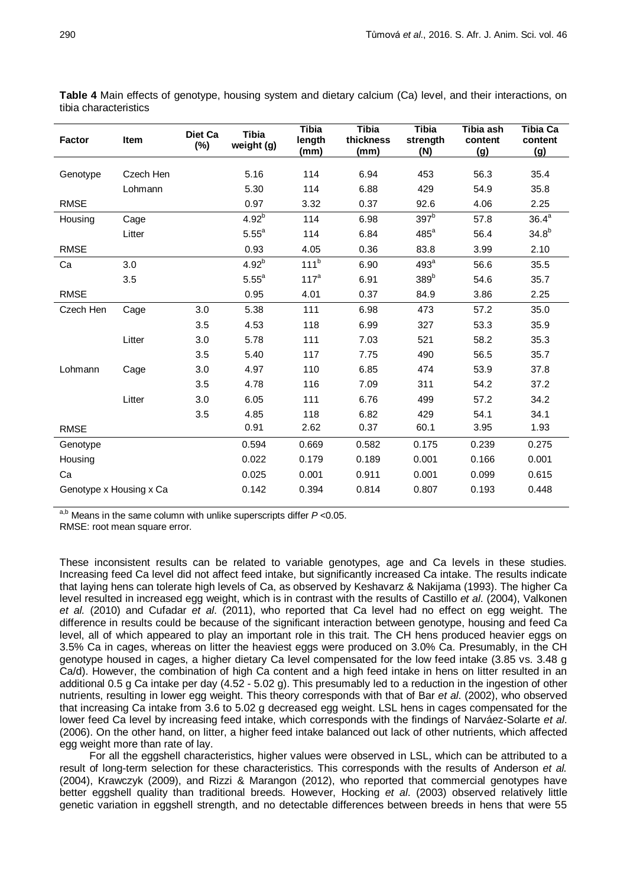| Factor                  | Item      | Diet Ca<br>$(\%)$ | <b>Tibia</b><br>weight (g) | <b>Tibia</b><br>length<br>(mm) | <b>Tibia</b><br>thickness<br>(mm) | <b>Tibia</b><br>strength<br>(N) | Tibia ash<br>content<br><u>(g)</u> | <b>Tibia Ca</b><br>content<br><u>(g)</u> |
|-------------------------|-----------|-------------------|----------------------------|--------------------------------|-----------------------------------|---------------------------------|------------------------------------|------------------------------------------|
| Genotype                | Czech Hen |                   | 5.16                       | 114                            | 6.94                              | 453                             | 56.3                               | 35.4                                     |
|                         | Lohmann   |                   | 5.30                       | 114                            | 6.88                              | 429                             | 54.9                               | 35.8                                     |
| <b>RMSE</b>             |           |                   | 0.97                       | 3.32                           | 0.37                              | 92.6                            | 4.06                               | 2.25                                     |
| Housing                 | Cage      |                   | $4.92^{b}$                 | 114                            | 6.98                              | 397 <sup>b</sup>                | 57.8                               | $36.4^a$                                 |
|                         | Litter    |                   | $5.55^a$                   | 114                            | 6.84                              | $485^{\circ}$                   | 56.4                               | $34.8^{b}$                               |
| <b>RMSE</b>             |           |                   | 0.93                       | 4.05                           | 0.36                              | 83.8                            | 3.99                               | 2.10                                     |
| Ca                      | 3.0       |                   | $4.92^{b}$                 | 111 <sup>b</sup>               | 6.90                              | 493 <sup>a</sup>                | 56.6                               | 35.5                                     |
|                         | 3.5       |                   | $5.55^a$                   | 117 <sup>a</sup>               | 6.91                              | 389 <sup>b</sup>                | 54.6                               | 35.7                                     |
| <b>RMSE</b>             |           |                   | 0.95                       | 4.01                           | 0.37                              | 84.9                            | 3.86                               | 2.25                                     |
| Czech Hen               | Cage      | 3.0               | 5.38                       | 111                            | 6.98                              | 473                             | 57.2                               | 35.0                                     |
|                         |           | 3.5               | 4.53                       | 118                            | 6.99                              | 327                             | 53.3                               | 35.9                                     |
|                         | Litter    | 3.0               | 5.78                       | 111                            | 7.03                              | 521                             | 58.2                               | 35.3                                     |
|                         |           | 3.5               | 5.40                       | 117                            | 7.75                              | 490                             | 56.5                               | 35.7                                     |
| Lohmann                 | Cage      | 3.0               | 4.97                       | 110                            | 6.85                              | 474                             | 53.9                               | 37.8                                     |
|                         |           | 3.5               | 4.78                       | 116                            | 7.09                              | 311                             | 54.2                               | 37.2                                     |
|                         | Litter    | 3.0               | 6.05                       | 111                            | 6.76                              | 499                             | 57.2                               | 34.2                                     |
|                         |           | 3.5               | 4.85                       | 118                            | 6.82                              | 429                             | 54.1                               | 34.1                                     |
| <b>RMSE</b>             |           |                   | 0.91                       | 2.62                           | 0.37                              | 60.1                            | 3.95                               | 1.93                                     |
| Genotype                |           |                   | 0.594                      | 0.669                          | 0.582                             | 0.175                           | 0.239                              | 0.275                                    |
| Housing                 |           |                   | 0.022                      | 0.179                          | 0.189                             | 0.001                           | 0.166                              | 0.001                                    |
| Ca                      |           |                   | 0.025                      | 0.001                          | 0.911                             | 0.001                           | 0.099                              | 0.615                                    |
| Genotype x Housing x Ca |           |                   | 0.142                      | 0.394                          | 0.814                             | 0.807                           | 0.193                              | 0.448                                    |

**Table 4** Main effects of genotype, housing system and dietary calcium (Ca) level, and their interactions, on tibia characteristics

a,b Means in the same column with unlike superscripts differ *P* <0.05.

RMSE: root mean square error.

These inconsistent results can be related to variable genotypes, age and Ca levels in these studies. Increasing feed Ca level did not affect feed intake, but significantly increased Ca intake. The results indicate that laying hens can tolerate high levels of Ca, as observed by Keshavarz & Nakijama (1993). The higher Ca level resulted in increased egg weight, which is in contrast with the results of Castillo *et al*. (2004), Valkonen *et al.* (2010) and Cufadar *et al*. (2011), who reported that Ca level had no effect on egg weight. The difference in results could be because of the significant interaction between genotype, housing and feed Ca level, all of which appeared to play an important role in this trait. The CH hens produced heavier eggs on 3.5% Ca in cages, whereas on litter the heaviest eggs were produced on 3.0% Ca. Presumably, in the CH genotype housed in cages, a higher dietary Ca level compensated for the low feed intake (3.85 vs. 3.48 g Ca/d). However, the combination of high Ca content and a high feed intake in hens on litter resulted in an additional 0.5 g Ca intake per day (4.52 - 5.02 g). This presumably led to a reduction in the ingestion of other nutrients, resulting in lower egg weight. This theory corresponds with that of Bar *et al*. (2002), who observed that increasing Ca intake from 3.6 to 5.02 g decreased egg weight. LSL hens in cages compensated for the lower feed Ca level by increasing feed intake, which corresponds with the findings of Narváez-Solarte *et al*. (2006). On the other hand, on litter, a higher feed intake balanced out lack of other nutrients, which affected egg weight more than rate of lay.

For all the eggshell characteristics, higher values were observed in LSL, which can be attributed to a result of long-term selection for these characteristics. This corresponds with the results of Anderson *et al.* (2004), Krawczyk (2009), and Rizzi & Marangon (2012), who reported that commercial genotypes have better eggshell quality than traditional breeds. However, Hocking *et al*. (2003) observed relatively little genetic variation in eggshell strength, and no detectable differences between breeds in hens that were 55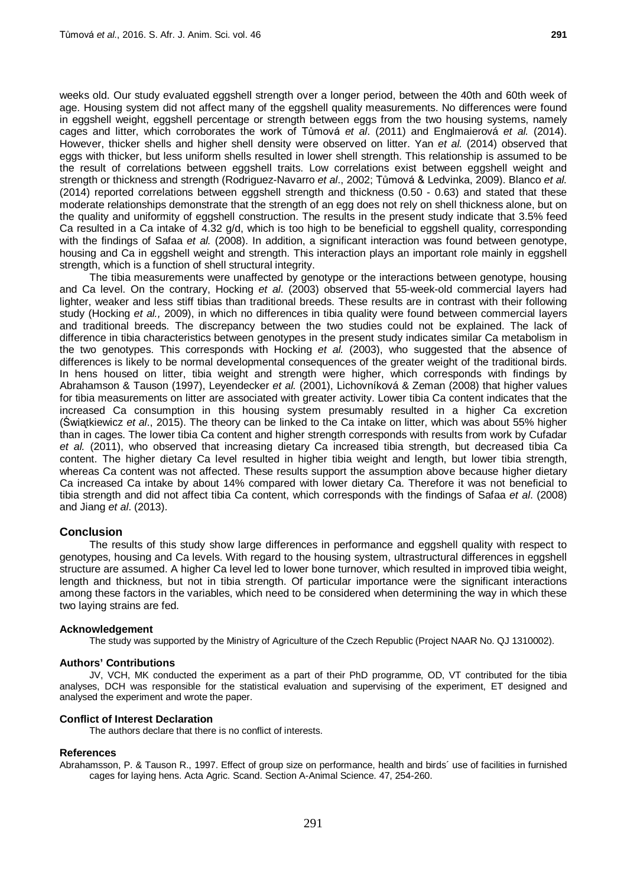weeks old. Our study evaluated eggshell strength over a longer period, between the 40th and 60th week of age. Housing system did not affect many of the eggshell quality measurements. No differences were found in eggshell weight, eggshell percentage or strength between eggs from the two housing systems, namely cages and litter, which corroborates the work of Tůmová *et al*. (2011) and Englmaierová *et al.* (2014). However, thicker shells and higher shell density were observed on litter. Yan *et al.* (2014) observed that eggs with thicker, but less uniform shells resulted in lower shell strength. This relationship is assumed to be the result of correlations between eggshell traits. Low correlations exist between eggshell weight and strength or thickness and strength (Rodriguez-Navarro *et al*., 2002; Tůmová & Ledvinka, 2009). Blanco *et al.* (2014) reported correlations between eggshell strength and thickness (0.50 - 0.63) and stated that these moderate relationships demonstrate that the strength of an egg does not rely on shell thickness alone, but on the quality and uniformity of eggshell construction. The results in the present study indicate that 3.5% feed Ca resulted in a Ca intake of 4.32 g/d, which is too high to be beneficial to eggshell quality, corresponding with the findings of Safaa *et al.* (2008). In addition, a significant interaction was found between genotype, housing and Ca in eggshell weight and strength. This interaction plays an important role mainly in eggshell strength, which is a function of shell structural integrity.

The tibia measurements were unaffected by genotype or the interactions between genotype, housing and Ca level. On the contrary, Hocking *et al*. (2003) observed that 55-week-old commercial layers had lighter, weaker and less stiff tibias than traditional breeds. These results are in contrast with their following study (Hocking *et al.,* 2009), in which no differences in tibia quality were found between commercial layers and traditional breeds. The discrepancy between the two studies could not be explained. The lack of difference in tibia characteristics between genotypes in the present study indicates similar Ca metabolism in the two genotypes. This corresponds with Hocking *et al.* (2003), who suggested that the absence of differences is likely to be normal developmental consequences of the greater weight of the traditional birds. In hens housed on litter, tibia weight and strength were higher, which corresponds with findings by Abrahamson & Tauson (1997), Leyendecker *et al.* (2001), Lichovníková & Zeman (2008) that higher values for tibia measurements on litter are associated with greater activity. Lower tibia Ca content indicates that the increased Ca consumption in this housing system presumably resulted in a higher Ca excretion (Światkiewicz *et al.*, 2015). The theory can be linked to the Ca intake on litter, which was about 55% higher than in cages. The lower tibia Ca content and higher strength corresponds with results from work by Cufadar *et al.* (2011), who observed that increasing dietary Ca increased tibia strength, but decreased tibia Ca content. The higher dietary Ca level resulted in higher tibia weight and length, but lower tibia strength, whereas Ca content was not affected. These results support the assumption above because higher dietary Ca increased Ca intake by about 14% compared with lower dietary Ca. Therefore it was not beneficial to tibia strength and did not affect tibia Ca content, which corresponds with the findings of Safaa *et al*. (2008) and Jiang *et al*. (2013).

## **Conclusion**

The results of this study show large differences in performance and eggshell quality with respect to genotypes, housing and Ca levels. With regard to the housing system, ultrastructural differences in eggshell structure are assumed. A higher Ca level led to lower bone turnover, which resulted in improved tibia weight, length and thickness, but not in tibia strength. Of particular importance were the significant interactions among these factors in the variables, which need to be considered when determining the way in which these two laying strains are fed.

#### **Acknowledgement**

The study was supported by the Ministry of Agriculture of the Czech Republic (Project NAAR No. QJ 1310002).

### **Authors' Contributions**

JV, VCH, MK conducted the experiment as a part of their PhD programme, OD, VT contributed for the tibia analyses, DCH was responsible for the statistical evaluation and supervising of the experiment, ET designed and analysed the experiment and wrote the paper.

### **Conflict of Interest Declaration**

The authors declare that there is no conflict of interests.

#### **References**

Abrahamsson, P. & Tauson R., 1997. Effect of group size on performance, health and birds´ use of facilities in furnished cages for laying hens. Acta Agric. Scand. [Section A-Animal Science.](http://www.tandfonline.com/toc/saga20/current) 47, 254-260.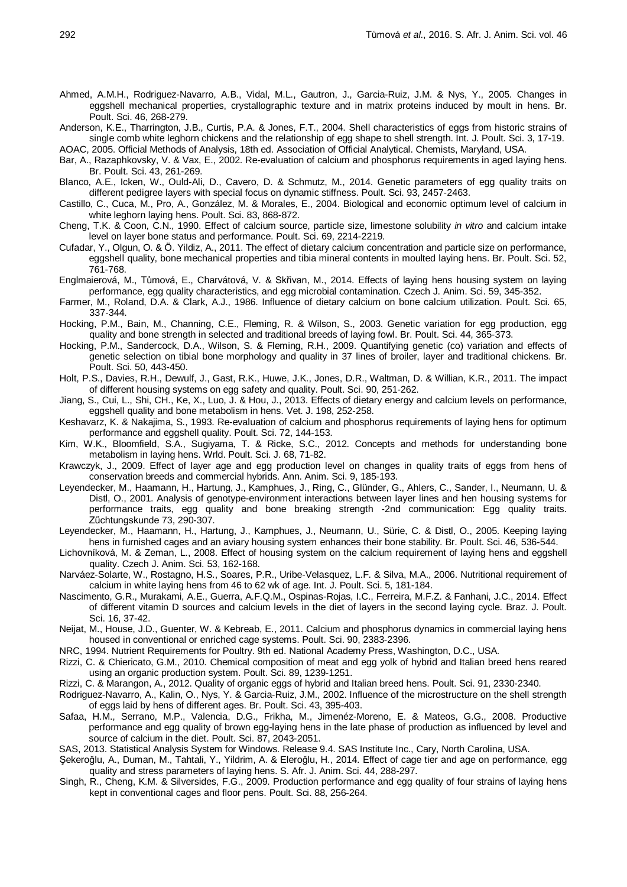- Ahmed, A.M.H., Rodriguez-Navarro, A.B., Vidal, M.L., Gautron, J., Garcia-Ruiz, J.M. & Nys, Y., 2005. Changes in eggshell mechanical properties, crystallographic texture and in matrix proteins induced by moult in hens. Br. Poult. Sci. 46, 268-279.
- Anderson, K.E., Tharrington, J.B., Curtis, P.A. & Jones, F.T., 2004. Shell characteristics of eggs from historic strains of single comb white leghorn chickens and the relationship of egg shape to shell strength. Int. J. Poult. Sci. 3, 17-19.
- AOAC, 2005. Official Methods of Analysis, 18th ed. Association of Official Analytical. Chemists, Maryland, USA.
- Bar, A., Razaphkovsky, V. & Vax, E., 2002. Re-evaluation of calcium and phosphorus requirements in aged laying hens. Br. Poult. Sci. 43, 261-269.
- Blanco, A.E., Icken, W., Ould-Ali, D., Cavero, D. & Schmutz, M., 2014. Genetic parameters of egg quality traits on different pedigree layers with special focus on dynamic stiffness. Poult. Sci. 93, 2457-2463.
- Castillo, C., Cuca, M., Pro, A., González, M. & Morales, E., 2004. Biological and economic optimum level of calcium in white leghorn laying hens. Poult. Sci. 83, 868-872.
- Cheng, T.K. & Coon, C.N., 1990. Effect of calcium source, particle size, limestone solubility *in vitro* and calcium intake level on layer bone status and performance. Poult. Sci. 69, 2214-2219.
- Cufadar, Y., Olgun, O. & Ö. Yildiz, A., 2011. The effect of dietary calcium concentration and particle size on performance, eggshell quality, bone mechanical properties and tibia mineral contents in moulted laying hens. Br. Poult. Sci. 52, 761-768.
- Englmaierová, M., Tůmová, E., Charvátová, V. & Skřivan, M., 2014. Effects of laying hens housing system on laying performance, egg quality characteristics, and egg microbial contamination. Czech J. Anim. Sci. 59, 345-352.
- Farmer, M., Roland, D.A. & Clark, A.J., 1986. Influence of dietary calcium on bone calcium utilization. Poult. Sci. 65, 337-344.
- Hocking, P.M., Bain, M., Channing, C.E., Fleming, R. & Wilson, S., 2003. Genetic variation for egg production, egg quality and bone strength in selected and traditional breeds of laying fowl. Br. Poult. Sci. 44, 365-373.
- Hocking, P.M., Sandercock, D.A., Wilson, S. & Fleming, R.H., 2009. Quantifying genetic (co) variation and effects of genetic selection on tibial bone morphology and quality in 37 lines of broiler, layer and traditional chickens. Br. Poult. Sci. 50, 443-450.
- Holt, P.S., Davies, R.H., Dewulf, J., Gast, R.K., Huwe, J.K., Jones, D.R., Waltman, D. & Willian, K.R., 2011. The impact of different housing systems on egg safety and quality. Poult. Sci. 90, 251-262.
- Jiang, S., Cui, L., Shi, CH., Ke, X., Luo, J. & Hou, J., 2013. Effects of dietary energy and calcium levels on performance, eggshell quality and bone metabolism in hens. Vet. J. 198, 252-258.
- Keshavarz, K. & Nakajima, S., 1993. Re-evaluation of calcium and phosphorus requirements of laying hens for optimum performance and eggshell quality. Poult. Sci. 72, 144-153.
- Kim, W.K., Bloomfield, S.A., Sugiyama, T. & Ricke, S.C., 2012. Concepts and methods for understanding bone metabolism in laying hens. Wrld. Poult. Sci. J. 68, 71-82.
- Krawczyk, J., 2009. Effect of layer age and egg production level on changes in quality traits of eggs from hens of conservation breeds and commercial hybrids. Ann. Anim. Sci. 9, 185-193.
- Leyendecker, M., Haamann, H., Hartung, J., Kamphues, J., Ring, C., Glünder, G., Ahlers, C., Sander, I., Neumann, U. & Distl, O., 2001. Analysis of genotype-environment interactions between layer lines and hen housing systems for performance traits, egg quality and bone breaking strength -2nd communication: Egg quality traits. Zűchtungskunde 73, 290-307.
- Leyendecker, M., Haamann, H., Hartung, J., Kamphues, J., Neumann, U., Sürie, C. & Distl, O., 2005. Keeping laying hens in furnished cages and an aviary housing system enhances their bone stability. Br. Poult. Sci. 46, 536-544.
- Lichovníková, M. & Zeman, L., 2008. Effect of housing system on the calcium requirement of laying hens and eggshell quality. Czech J. Anim. Sci. 53, 162-168.
- Narváez-Solarte, W., Rostagno, H.S., Soares, P.R., Uribe-Velasquez, L.F. & Silva, M.A., 2006. Nutritional requirement of calcium in white laying hens from 46 to 62 wk of age. Int. J. Poult. Sci. 5, 181-184.
- Nascimento, G.R., Murakami, A.E., Guerra, A.F.Q.M., Ospinas-Rojas, I.C., Ferreira, M.F.Z. & Fanhani, J.C., 2014. Effect of different vitamin D sources and calcium levels in the diet of layers in the second laying cycle. Braz. J. Poult. Sci. 16, 37-42.
- Neijat, M., House, J.D., Guenter, W. & Kebreab, E., 2011. Calcium and phosphorus dynamics in commercial laying hens housed in conventional or enriched cage systems. Poult. Sci. 90, 2383-2396.
- NRC, 1994. Nutrient Requirements for Poultry. 9th ed. National Academy Press, Washington, D.C., USA.
- Rizzi, C. & Chiericato, G.M., 2010. Chemical composition of meat and egg yolk of hybrid and Italian breed hens reared using an organic production system. Poult. Sci. 89, 1239-1251.
- Rizzi, C. & Marangon, A., 2012. Quality of organic eggs of hybrid and Italian breed hens. Poult. Sci. 91, 2330-2340.
- Rodriguez-Navarro, A., Kalin, O., Nys, Y. & Garcia-Ruiz, J.M., 2002. Influence of the microstructure on the shell strength of eggs laid by hens of different ages. Br. Poult. Sci. 43, 395-403.
- Safaa, H.M., Serrano, M.P., Valencia, D.G., Frikha, M., Jimenéz-Moreno, E. & Mateos, G.G., 2008. Productive performance and egg quality of brown egg-laying hens in the late phase of production as influenced by level and source of calcium in the diet. Poult. Sci. 87, 2043-2051.
- SAS, 2013. Statistical Analysis System for Windows. Release 9.4. SAS Institute Inc., Cary, North Carolina, USA.
- Şekeroğlu, A., Duman, M., Tahtali, Y., Yildrim, A. & Eleroğlu, H., 2014. Effect of cage tier and age on performance, egg quality and stress parameters of laying hens. S. Afr. J. Anim. Sci. 44, 288-297.
- Singh, R., Cheng, K.M. & Silversides, F.G., 2009. Production performance and egg quality of four strains of laying hens kept in conventional cages and floor pens. Poult. Sci. 88, 256-264.